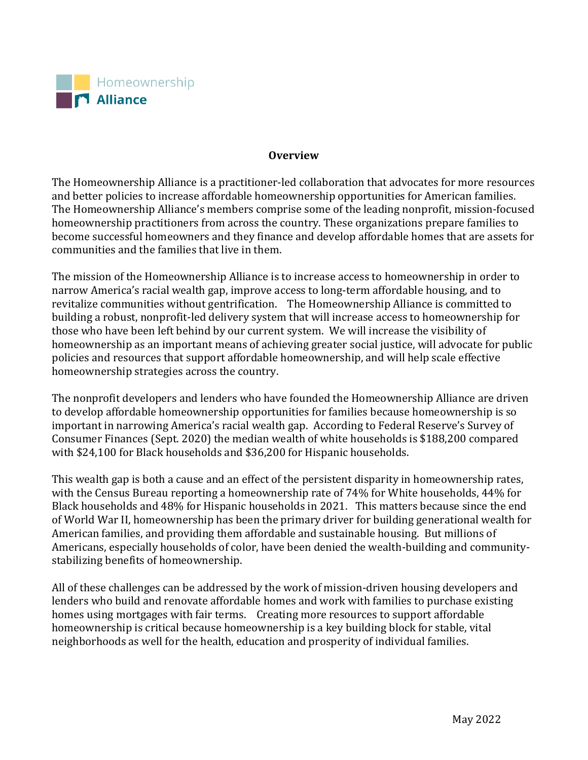

## **Overview**

The Homeownership Alliance is a practitioner-led collaboration that advocates for more resources and better policies to increase affordable homeownership opportunities for American families. The Homeownership Alliance's members comprise some of the leading nonprofit, mission-focused homeownership practitioners from across the country. These organizations prepare families to become successful homeowners and they finance and develop affordable homes that are assets for communities and the families that live in them.

The mission of the Homeownership Alliance is to increase access to homeownership in order to narrow America's racial wealth gap, improve access to long-term affordable housing, and to revitalize communities without gentrification. The Homeownership Alliance is committed to building a robust, nonprofit-led delivery system that will increase access to homeownership for those who have been left behind by our current system. We will increase the visibility of homeownership as an important means of achieving greater social justice, will advocate for public policies and resources that support affordable homeownership, and will help scale effective homeownership strategies across the country.

The nonprofit developers and lenders who have founded the Homeownership Alliance are driven to develop affordable homeownership opportunities for families because homeownership is so important in narrowing America's racial wealth gap. According to Federal Reserve's Survey of Consumer Finances (Sept. 2020) the median wealth of white households is \$188,200 compared with \$24,100 for Black households and \$36,200 for Hispanic households.

This wealth gap is both a cause and an effect of the persistent disparity in homeownership rates, with the Census Bureau reporting a homeownership rate of 74% for White households, 44% for Black households and 48% for Hispanic households in 2021. This matters because since the end of World War II, homeownership has been the primary driver for building generational wealth for American families, and providing them affordable and sustainable housing. But millions of Americans, especially households of color, have been denied the wealth-building and communitystabilizing benefits of homeownership.

All of these challenges can be addressed by the work of mission-driven housing developers and lenders who build and renovate affordable homes and work with families to purchase existing homes using mortgages with fair terms. Creating more resources to support affordable homeownership is critical because homeownership is a key building block for stable, vital neighborhoods as well for the health, education and prosperity of individual families.